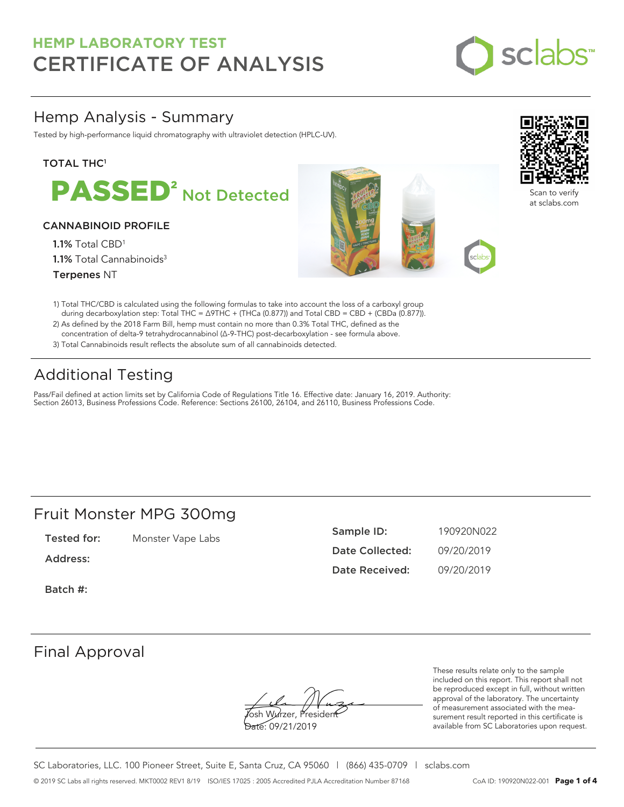

### Hemp Analysis - Summary

Tested by high-performance liquid chromatography with ultraviolet detection (HPLC-UV).

### **TOTAL THC1**



### CANNABINOID PROFILE

1.1% Total CBD<sup>1</sup> 1.1% Total Cannabinoids<sup>3</sup> Terpenes NT





Scan to verify at sclabs.com

- 1) Total THC/CBD is calculated using the following formulas to take into account the loss of a carboxyl group during decarboxylation step: Total THC = ∆9THC + (THCa (0.877)) and Total CBD = CBD + (CBDa (0.877)).
- 2) As defined by the 2018 Farm Bill, hemp must contain no more than 0.3% Total THC, defined as the concentration of delta-9 tetrahydrocannabinol (Δ-9-THC) post-decarboxylation - see formula above.
- 3) Total Cannabinoids result reflects the absolute sum of all cannabinoids detected.

## Additional Testing

Pass/Fail defined at action limits set by California Code of Regulations Title 16. Effective date: January 16, 2019. Authority: Section 26013, Business Professions Code. Reference: Sections 26100, 26104, and 26110, Business Professions Code.

### Fruit Monster MPG 300mg

Tested for: Monster Vape Labs

Address:

Batch #:

| Sample ID:      | 190920N022 |
|-----------------|------------|
| Date Collected: | 09/20/2019 |
| Date Received:  | 09/20/2019 |

### Final Approval

**J**osh Wurzer, Presiden<del>t</del> Date: 09/21/2019

These results relate only to the sample included on this report. This report shall not be reproduced except in full, without written approval of the laboratory. The uncertainty of measurement associated with the measurement result reported in this certificate is available from SC Laboratories upon request.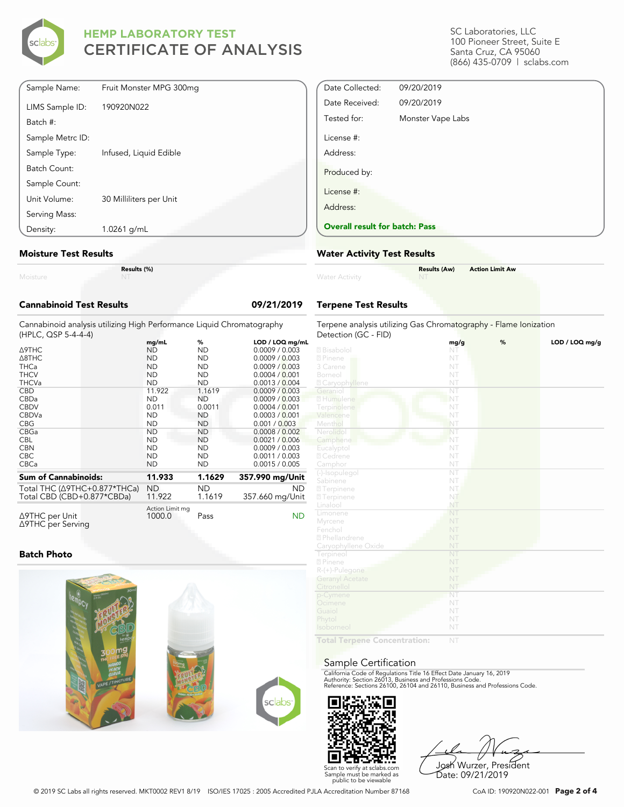

SC Laboratories, LLC 100 Pioneer Street, Suite E Santa Cruz, CA 95060 (866) 435-0709 | sclabs.com

| Sample Name:     | Fruit Monster MPG 300mg |
|------------------|-------------------------|
| LIMS Sample ID:  | 190920N022              |
| Batch #:         |                         |
| Sample Metrc ID: |                         |
| Sample Type:     | Infused, Liquid Edible  |
| Batch Count:     |                         |
| Sample Count:    |                         |
| Unit Volume:     | 30 Milliliters per Unit |
| Serving Mass:    |                         |
| Density:         | 1.0261 g/mL             |

#### **Moisture Test Results**

| . |  |  |
|---|--|--|

**Results (%)**

| <b>Cannabinoid Test Results</b>                                                              |                                                           |                                                       | 09/21/2019                                                                              |  |  |  |
|----------------------------------------------------------------------------------------------|-----------------------------------------------------------|-------------------------------------------------------|-----------------------------------------------------------------------------------------|--|--|--|
| Cannabinoid analysis utilizing High Performance Liquid Chromatography<br>(HPLC, QSP 5-4-4-4) |                                                           |                                                       |                                                                                         |  |  |  |
| <b>A9THC</b><br>$\triangle$ 8THC<br><b>THCa</b><br><b>THCV</b>                               | mg/mL<br><b>ND</b><br><b>ND</b><br><b>ND</b><br><b>ND</b> | %<br><b>ND</b><br><b>ND</b><br><b>ND</b><br><b>ND</b> | LOD / LOQ mg/mL<br>0.0009 / 0.003<br>0.0009 / 0.003<br>0.0009 / 0.003<br>0.0004 / 0.001 |  |  |  |
| <b>THCVa</b><br><b>CBD</b><br>CBDa                                                           | <b>ND</b><br>11.922<br><b>ND</b>                          | <b>ND</b><br>1.1619<br><b>ND</b>                      | 0.0013 / 0.004<br>0.0009 / 0.003<br>0.0009 / 0.003                                      |  |  |  |
| <b>CBDV</b><br>CBDVa<br><b>CBG</b>                                                           | 0.011<br><b>ND</b><br><b>ND</b>                           | 0.0011<br><b>ND</b><br><b>ND</b>                      | 0.0004 / 0.001<br>0.0003 / 0.001<br>0.001 / 0.003                                       |  |  |  |
| CBGa<br><b>CBL</b><br><b>CBN</b>                                                             | <b>ND</b><br><b>ND</b><br><b>ND</b>                       | <b>ND</b><br><b>ND</b><br><b>ND</b>                   | 0.0008 / 0.002<br>0.0021 / 0.006<br>0.0009 / 0.003                                      |  |  |  |
| CBC.<br>CBCa<br><b>Sum of Cannabinoids:</b>                                                  | <b>ND</b><br><b>ND</b><br>11.933                          | <b>ND</b><br><b>ND</b><br>1.1629                      | 0.0011 / 0.003<br>0.0015 / 0.005                                                        |  |  |  |
| Total THC (∆9THC+0.877*THCa)<br>Total CBD (CBD+0.877*CBDa)                                   | <b>ND</b><br>11.922                                       | <b>ND</b><br>1.1619                                   | 357.990 mg/Unit<br>ND<br>357.660 mg/Unit                                                |  |  |  |
| ∆9THC per Unit<br>∆9THC per Serving                                                          | Action Limit mg<br>1000.0                                 | Pass                                                  | ND                                                                                      |  |  |  |

#### **Batch Photo**



| Date Collected:                       | 09/20/2019        |
|---------------------------------------|-------------------|
| Date Received:                        | 09/20/2019        |
| Tested for:                           | Monster Vape Labs |
| License #:                            |                   |
| Address:                              |                   |
| Produced by:                          |                   |
| License #:                            |                   |
| Address:                              |                   |
| <b>Overall result for batch: Pass</b> |                   |

### **Water Activity Test Results**

| <b>Water Activity</b> | <b>Results (Aw)</b><br><b>NT</b> | <b>Action Limit Aw</b> |
|-----------------------|----------------------------------|------------------------|
|                       |                                  |                        |

### **Terpene Test Results**

| Terpene analysis utilizing Gas Chromatography - Flame Ionization<br>Detection (GC - FID) |                        |   |                |  |
|------------------------------------------------------------------------------------------|------------------------|---|----------------|--|
|                                                                                          | mg/g                   | % | LOD / LOQ mg/g |  |
| 2 Bisabolol                                                                              | NT                     |   |                |  |
| 2 Pinene                                                                                 | NT                     |   |                |  |
| 3 Carene                                                                                 | NT                     |   |                |  |
| Borneol                                                                                  | NT                     |   |                |  |
| <b>Z</b> Caryophyllene                                                                   | NT                     |   |                |  |
| Geraniol                                                                                 | $\overline{\text{NT}}$ |   |                |  |
| 2 Humulene                                                                               | NT                     |   |                |  |
| Terpinolene                                                                              | NT                     |   |                |  |
| Valencene                                                                                | NT                     |   |                |  |
| Menthol                                                                                  | NT                     |   |                |  |
| Nerolidol                                                                                | NT                     |   |                |  |
| Camphene                                                                                 | NT                     |   |                |  |
| Eucalyptol                                                                               | NT                     |   |                |  |
| 2 Cedrene                                                                                | NT                     |   |                |  |
| Camphor                                                                                  | NT                     |   |                |  |
| (-)-Isopulegol                                                                           | $\overline{\text{NT}}$ |   |                |  |
| Sabinene                                                                                 | NT                     |   |                |  |
| 2 Terpinene                                                                              | NT                     |   |                |  |
| <b>27</b> Terpinene                                                                      | NT                     |   |                |  |
| Linalool                                                                                 | NT                     |   |                |  |
| Limonene                                                                                 | NT                     |   |                |  |
| Myrcene                                                                                  | NT                     |   |                |  |
| Fenchol                                                                                  | NT                     |   |                |  |
| <sup>2</sup> Phellandrene                                                                | NT                     |   |                |  |
| Caryophyllene Oxide                                                                      | NT                     |   |                |  |
| Terpineol                                                                                | NT                     |   |                |  |
| 2 Pinene                                                                                 | NT                     |   |                |  |
| $R-(+)$ -Pulegone                                                                        | NT                     |   |                |  |
| <b>Geranyl Acetate</b>                                                                   | NT                     |   |                |  |
| Citronellol                                                                              | NT                     |   |                |  |
| p-Cymene                                                                                 | NT                     |   |                |  |
| Ocimene                                                                                  | NT                     |   |                |  |
| Guaiol                                                                                   | NT                     |   |                |  |
| Phytol                                                                                   | NT                     |   |                |  |
| Isoborneol                                                                               | NT                     |   |                |  |
| Total Ternane Concentration:                                                             | NIT                    |   |                |  |

**Total Terpene Concentration:**

#### Sample Certification

California Code of Regulations Title 16 Effect Date January 16, 2019<br>Authority: Section 26013, Business and Professions Code.<br>Reference: Sections 26100, 26104 and 26110, Business and Professions Code.



Josh Wurzer, President Date: 09/21/2019

© 2019 SC Labs all rights reserved. MKT0002 REV1 8/19 ISO/IES 17025 : 2005 Accredited PJLA Accreditation Number 87168 CoA ID: 190920N022-001 **Page 2 of 4**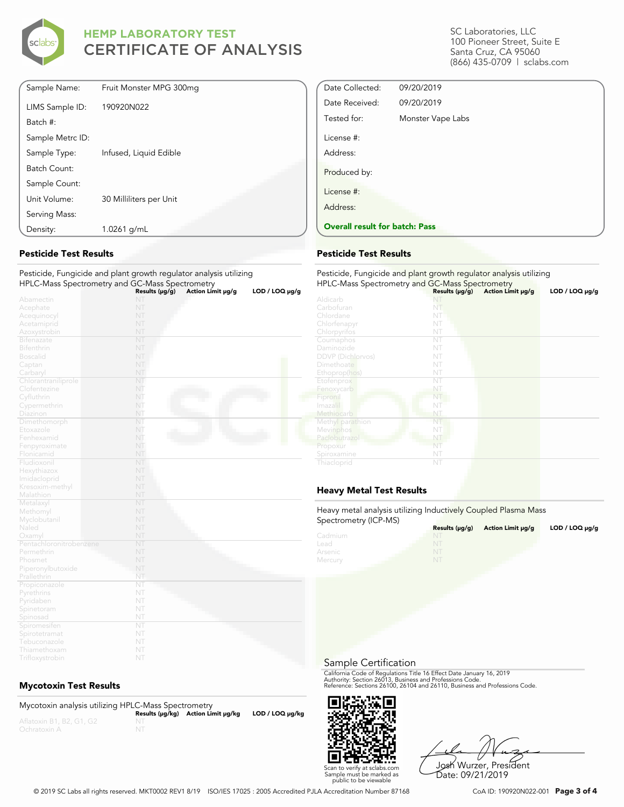

| Density:         | 1.0261 g/mL             |  |
|------------------|-------------------------|--|
| Serving Mass:    |                         |  |
| Unit Volume:     | 30 Milliliters per Unit |  |
| Sample Count:    |                         |  |
| Batch Count:     |                         |  |
| Sample Type:     | Infused, Liquid Edible  |  |
| Sample Metrc ID: |                         |  |
| Batch #:         |                         |  |
| LIMS Sample ID:  | 190920N022              |  |
| Sample Name:     | Fruit Monster MPG 300mg |  |

### **Pesticide Test Results**

#### Pesticide, Fungicide and plant growth regulator analysis utilizing HPLC-Mass Spectrometry and GC-Mass Spectrometry

|                         | Results ( $\mu$ g/g) | Action Limit µg/g | LOD / LOO µg/g |
|-------------------------|----------------------|-------------------|----------------|
| Abamectin               | NT                   |                   |                |
| Acephate                | NT                   |                   |                |
| Acequinocyl             | NT                   |                   |                |
| Acetamiprid             | NT                   |                   |                |
| Azoxystrobin            | NT                   |                   |                |
| Bifenazate              | NT                   |                   |                |
| Bifenthrin              | NT                   |                   |                |
| <b>Boscalid</b>         | NT                   |                   |                |
| Captan                  | NT                   |                   |                |
| Carbaryl                | NT                   |                   |                |
| Chlorantraniliprole     | NT                   |                   |                |
| Clofentezine            | NT                   |                   |                |
| Cyfluthrin              | NT                   |                   |                |
| Cypermethrin            | NT                   |                   |                |
| Diazinon                | NT                   |                   |                |
| Dimethomorph            | NT                   |                   |                |
| Etoxazole               | NT                   |                   |                |
| Fenhexamid              | NT                   |                   |                |
| Fenpyroximate           | NT                   |                   |                |
| Flonicamid              | NT                   |                   |                |
| Fludioxonil             | NT                   |                   |                |
| Hexythiazox             | NT                   |                   |                |
| Imidacloprid            | NT                   |                   |                |
| Kresoxim-methyl         | NT                   |                   |                |
| Malathion               | NT                   |                   |                |
| Metalaxyl               | NT                   |                   |                |
| Methomyl                | NT                   |                   |                |
| Myclobutanil            | NT                   |                   |                |
| Naled                   | NT                   |                   |                |
| Oxamyl                  | NT                   |                   |                |
| Pentachloronitrobenzene | NT                   |                   |                |
| Permethrin              | NT                   |                   |                |
| Phosmet                 | NT                   |                   |                |
| Piperonylbutoxide       | NT                   |                   |                |
| Prallethrin             | NT                   |                   |                |
| Propiconazole           | NT                   |                   |                |
| Pyrethrins              | NT                   |                   |                |
| Pyridaben               | NT                   |                   |                |
| Spinetoram              | NT                   |                   |                |
| Spinosad                | NT                   |                   |                |
| Spiromesifen            | NT                   |                   |                |
| Spirotetramat           | NT                   |                   |                |
| Tebuconazole            | NT                   |                   |                |
| Thiamethoxam            | NT                   |                   |                |

### **Mycotoxin Test Results**

| Mycotoxin analysis utilizing HPLC-Mass Spectrometry |                                    |                      |
|-----------------------------------------------------|------------------------------------|----------------------|
|                                                     | Results (µq/kq) Action Limit µq/kq | $LOD / LOQ \mu g/kg$ |
| Aflatoxin B1, B2, G1, G2                            |                                    |                      |
| Ochratoxin A                                        |                                    |                      |

SC Laboratories, LLC 100 Pioneer Street, Suite E Santa Cruz, CA 95060 (866) 435-0709 | sclabs.com

| Date Collected:                       | 09/20/2019        |  |
|---------------------------------------|-------------------|--|
| Date Received:                        | 09/20/2019        |  |
| Tested for:                           | Monster Vape Labs |  |
| License #:                            |                   |  |
| Address:                              |                   |  |
| Produced by:                          |                   |  |
| License #:                            |                   |  |
| Address:                              |                   |  |
| <b>Overall result for batch: Pass</b> |                   |  |

### **Pesticide Test Results**

| Pesticide, Fungicide and plant growth regulator analysis utilizing |                     |                   |                |  |
|--------------------------------------------------------------------|---------------------|-------------------|----------------|--|
| HPLC-Mass Spectrometry and GC-Mass Spectrometry                    | Results $(\mu g/g)$ | Action Limit µg/g | LOD / LOQ µg/g |  |
| Aldicarb                                                           |                     |                   |                |  |
| Carbofuran                                                         | NT                  |                   |                |  |
| Chlordane                                                          | NT                  |                   |                |  |
| Chlorfenapyr                                                       | NT                  |                   |                |  |
| Chlorpyrifos                                                       | NT                  |                   |                |  |
| Coumaphos                                                          | NT                  |                   |                |  |
| Daminozide                                                         | NT                  |                   |                |  |
| <b>DDVP</b> (Dichlorvos)                                           | NT                  |                   |                |  |
| Dimethoate                                                         | NT                  |                   |                |  |
| Ethoprop(hos)                                                      | NT                  |                   |                |  |
| Etofenprox                                                         | NT                  |                   |                |  |
| Fenoxycarb                                                         | NT                  |                   |                |  |
| Fipronil                                                           | NT                  |                   |                |  |
| Imazalil                                                           | NT                  |                   |                |  |
| Methiocarb                                                         | NT                  |                   |                |  |
| Methyl parathion                                                   | NT                  |                   |                |  |
| Mevinphos                                                          | NT                  |                   |                |  |
| Paclobutrazol                                                      | NT                  |                   |                |  |
| Propoxur                                                           | NT                  |                   |                |  |
| Spiroxamine                                                        | NT                  |                   |                |  |
| Thiacloprid                                                        | NT                  |                   |                |  |

### **Heavy Metal Test Results**

Heavy metal analysis utilizing Inductively Coupled Plasma Mass Spectrometry (ICP-MS)

| <b>ODECHALLER A</b> HOLL-IND | Results $(\mu g/g)$ | Action Limit µq/q | $LOD / LOQ \mu g/g$ |
|------------------------------|---------------------|-------------------|---------------------|
| Cadmium                      | NT                  |                   |                     |
| Lead                         |                     |                   |                     |
| Arsenic                      | NT                  |                   |                     |
| Mercury                      | N                   |                   |                     |

Sample Certification

California Code of Regulations Title 16 Effect Date January 16, 2019<br>Authority: Section 26013, Business and Professions Code.<br>Reference: Sections 26100, 26104 and 26110, Business and Professions Code.



Josh Wurzer, President Date: 09/21/2019

© 2019 SC Labs all rights reserved. MKT0002 REV1 8/19 ISO/IES 17025 : 2005 Accredited PJLA Accreditation Number 87168 CoA ID: 190920N022-001 **Page 3 of 4**